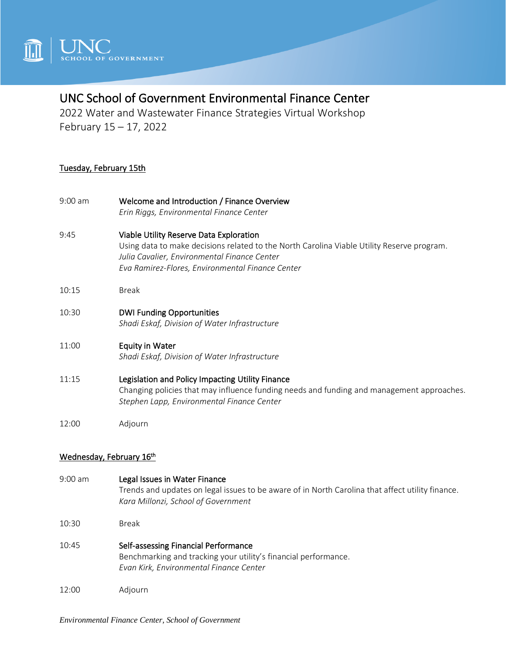

# UNC School of Government Environmental Finance Center

2022 Water and Wastewater Finance Strategies Virtual Workshop February 15 – 17, 2022

### Tuesday, February 15th

- 9:00 am Welcome and Introduction / Finance Overview *Erin Riggs, Environmental Finance Center*
- 9:45 Viable Utility Reserve Data Exploration Using data to make decisions related to the North Carolina Viable Utility Reserve program. *Julia Cavalier, Environmental Finance Center Eva Ramirez-Flores, Environmental Finance Center*
- 10:15 Break
- 10:30 DWI Funding Opportunities *Shadi Eskaf, Division of Water Infrastructure*

#### 11:00 Equity in Water *Shadi Eskaf, Division of Water Infrastructure*

- 11:15 Legislation and Policy Impacting Utility Finance Changing policies that may influence funding needs and funding and management approaches. *Stephen Lapp, Environmental Finance Center*
- 12:00 Adjourn

## Wednesday, February 16th

- 9:00 am Legal Issues in Water Finance Trends and updates on legal issues to be aware of in North Carolina that affect utility finance. *Kara Millonzi, School of Government* 10:30 Break 10:45 Self-assessing Financial Performance Benchmarking and tracking your utility's financial performance. *Evan Kirk, Environmental Finance Center*
- 12:00 Adjourn